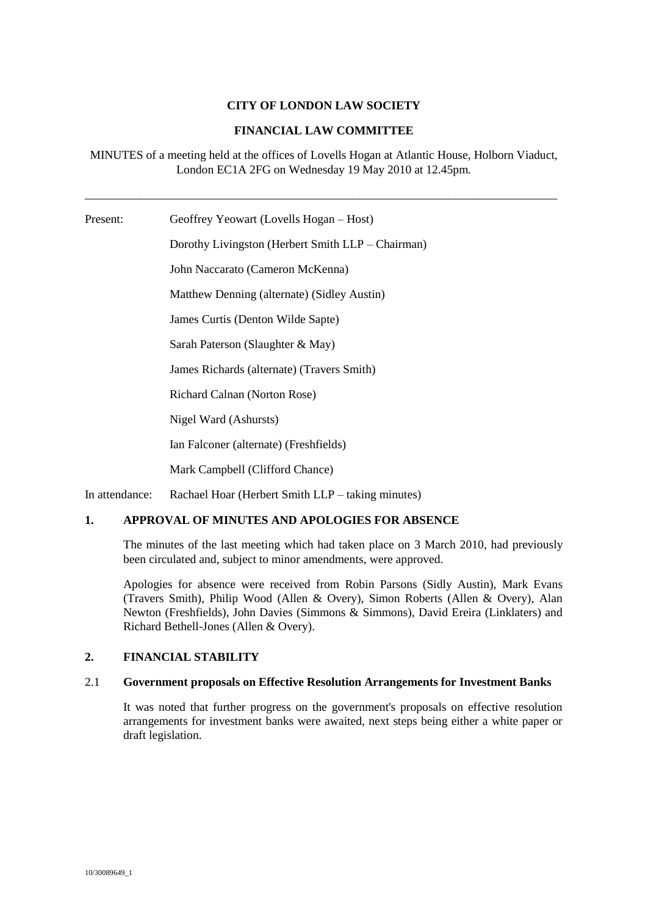# **CITY OF LONDON LAW SOCIETY**

# **FINANCIAL LAW COMMITTEE**

MINUTES of a meeting held at the offices of Lovells Hogan at Atlantic House, Holborn Viaduct, London EC1A 2FG on Wednesday 19 May 2010 at 12.45pm.

\_\_\_\_\_\_\_\_\_\_\_\_\_\_\_\_\_\_\_\_\_\_\_\_\_\_\_\_\_\_\_\_\_\_\_\_\_\_\_\_\_\_\_\_\_\_\_\_\_\_\_\_\_\_\_\_\_\_\_\_\_\_\_\_\_\_\_\_\_\_\_\_\_\_\_\_\_\_\_

Present: Geoffrey Yeowart (Lovells Hogan – Host) Dorothy Livingston (Herbert Smith LLP – Chairman) John Naccarato (Cameron McKenna) Matthew Denning (alternate) (Sidley Austin) James Curtis (Denton Wilde Sapte) Sarah Paterson (Slaughter & May) James Richards (alternate) (Travers Smith) Richard Calnan (Norton Rose) Nigel Ward (Ashursts) Ian Falconer (alternate) (Freshfields) Mark Campbell (Clifford Chance)

In attendance: Rachael Hoar (Herbert Smith LLP – taking minutes)

# **1. APPROVAL OF MINUTES AND APOLOGIES FOR ABSENCE**

The minutes of the last meeting which had taken place on 3 March 2010, had previously been circulated and, subject to minor amendments, were approved.

Apologies for absence were received from Robin Parsons (Sidly Austin), Mark Evans (Travers Smith), Philip Wood (Allen & Overy), Simon Roberts (Allen & Overy), Alan Newton (Freshfields), John Davies (Simmons & Simmons), David Ereira (Linklaters) and Richard Bethell-Jones (Allen & Overy).

#### **2. FINANCIAL STABILITY**

#### 2.1 **Government proposals on Effective Resolution Arrangements for Investment Banks**

It was noted that further progress on the government's proposals on effective resolution arrangements for investment banks were awaited, next steps being either a white paper or draft legislation.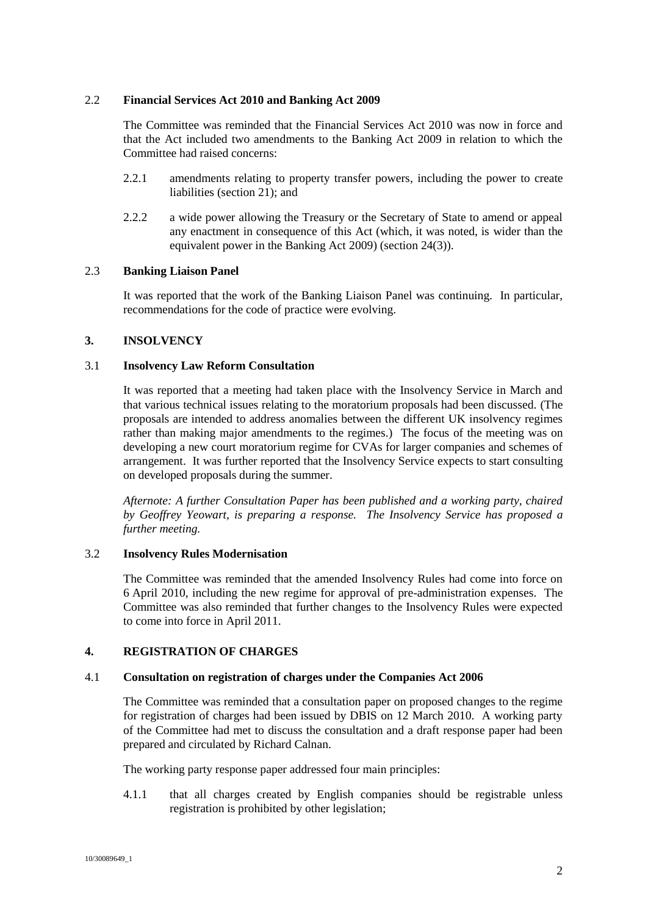## 2.2 **Financial Services Act 2010 and Banking Act 2009**

The Committee was reminded that the Financial Services Act 2010 was now in force and that the Act included two amendments to the Banking Act 2009 in relation to which the Committee had raised concerns:

- 2.2.1 amendments relating to property transfer powers, including the power to create liabilities (section 21); and
- 2.2.2 a wide power allowing the Treasury or the Secretary of State to amend or appeal any enactment in consequence of this Act (which, it was noted, is wider than the equivalent power in the Banking Act 2009) (section 24(3)).

#### 2.3 **Banking Liaison Panel**

It was reported that the work of the Banking Liaison Panel was continuing. In particular, recommendations for the code of practice were evolving.

#### **3. INSOLVENCY**

# 3.1 **Insolvency Law Reform Consultation**

It was reported that a meeting had taken place with the Insolvency Service in March and that various technical issues relating to the moratorium proposals had been discussed. (The proposals are intended to address anomalies between the different UK insolvency regimes rather than making major amendments to the regimes.) The focus of the meeting was on developing a new court moratorium regime for CVAs for larger companies and schemes of arrangement. It was further reported that the Insolvency Service expects to start consulting on developed proposals during the summer.

*Afternote: A further Consultation Paper has been published and a working party, chaired by Geoffrey Yeowart, is preparing a response. The Insolvency Service has proposed a further meeting.*

#### 3.2 **Insolvency Rules Modernisation**

The Committee was reminded that the amended Insolvency Rules had come into force on 6 April 2010, including the new regime for approval of pre-administration expenses. The Committee was also reminded that further changes to the Insolvency Rules were expected to come into force in April 2011.

#### **4. REGISTRATION OF CHARGES**

#### 4.1 **Consultation on registration of charges under the Companies Act 2006**

The Committee was reminded that a consultation paper on proposed changes to the regime for registration of charges had been issued by DBIS on 12 March 2010. A working party of the Committee had met to discuss the consultation and a draft response paper had been prepared and circulated by Richard Calnan.

The working party response paper addressed four main principles:

4.1.1 that all charges created by English companies should be registrable unless registration is prohibited by other legislation;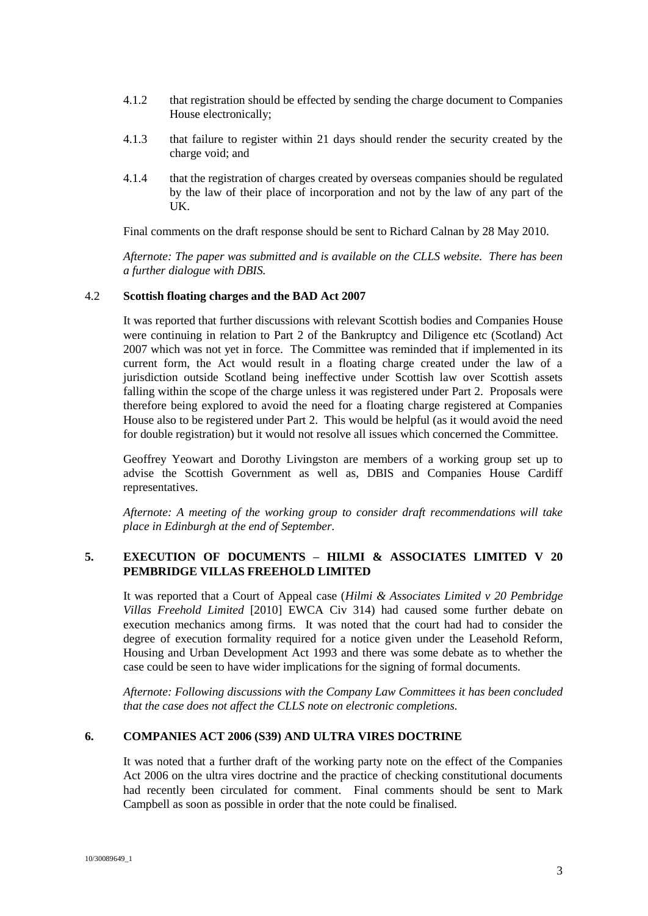- 4.1.2 that registration should be effected by sending the charge document to Companies House electronically;
- 4.1.3 that failure to register within 21 days should render the security created by the charge void; and
- 4.1.4 that the registration of charges created by overseas companies should be regulated by the law of their place of incorporation and not by the law of any part of the UK.

Final comments on the draft response should be sent to Richard Calnan by 28 May 2010.

*Afternote: The paper was submitted and is available on the CLLS website. There has been a further dialogue with DBIS.*

#### 4.2 **Scottish floating charges and the BAD Act 2007**

It was reported that further discussions with relevant Scottish bodies and Companies House were continuing in relation to Part 2 of the Bankruptcy and Diligence etc (Scotland) Act 2007 which was not yet in force. The Committee was reminded that if implemented in its current form, the Act would result in a floating charge created under the law of a jurisdiction outside Scotland being ineffective under Scottish law over Scottish assets falling within the scope of the charge unless it was registered under Part 2. Proposals were therefore being explored to avoid the need for a floating charge registered at Companies House also to be registered under Part 2. This would be helpful (as it would avoid the need for double registration) but it would not resolve all issues which concerned the Committee.

Geoffrey Yeowart and Dorothy Livingston are members of a working group set up to advise the Scottish Government as well as, DBIS and Companies House Cardiff representatives.

*Afternote: A meeting of the working group to consider draft recommendations will take place in Edinburgh at the end of September.*

## **5. EXECUTION OF DOCUMENTS – HILMI & ASSOCIATES LIMITED V 20 PEMBRIDGE VILLAS FREEHOLD LIMITED**

It was reported that a Court of Appeal case (*Hilmi & Associates Limited v 20 Pembridge Villas Freehold Limited* [2010] EWCA Civ 314) had caused some further debate on execution mechanics among firms. It was noted that the court had had to consider the degree of execution formality required for a notice given under the Leasehold Reform, Housing and Urban Development Act 1993 and there was some debate as to whether the case could be seen to have wider implications for the signing of formal documents.

*Afternote: Following discussions with the Company Law Committees it has been concluded that the case does not affect the CLLS note on electronic completions.*

## **6. COMPANIES ACT 2006 (S39) AND ULTRA VIRES DOCTRINE**

It was noted that a further draft of the working party note on the effect of the Companies Act 2006 on the ultra vires doctrine and the practice of checking constitutional documents had recently been circulated for comment. Final comments should be sent to Mark Campbell as soon as possible in order that the note could be finalised.